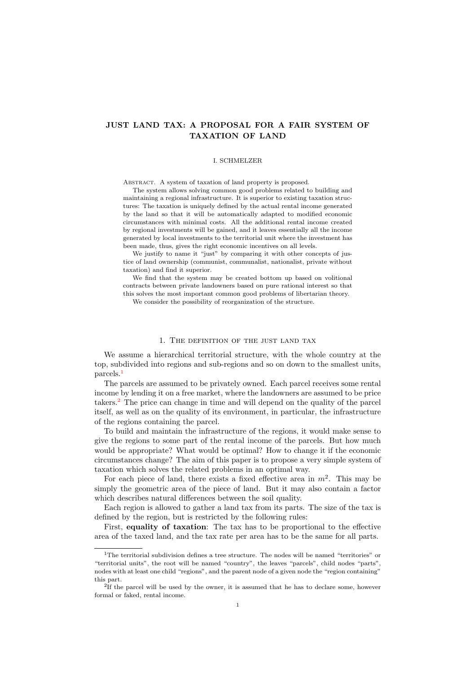# JUST LAND TAX: A PROPOSAL FOR A FAIR SYSTEM OF TAXATION OF LAND

# I. SCHMELZER

ABSTRACT. A system of taxation of land property is proposed.

The system allows solving common good problems related to building and maintaining a regional infrastructure. It is superior to existing taxation structures: The taxation is uniquely defined by the actual rental income generated by the land so that it will be automatically adapted to modified economic circumstances with minimal costs. All the additional rental income created by regional investments will be gained, and it leaves essentially all the income generated by local investments to the territorial unit where the investment has been made, thus, gives the right economic incentives on all levels.

We justify to name it "just" by comparing it with other concepts of justice of land ownership (communist, communalist, nationalist, private without taxation) and find it superior.

We find that the system may be created bottom up based on volitional contracts between private landowners based on pure rational interest so that this solves the most important common good problems of libertarian theory.

We consider the possibility of reorganization of the structure.

#### 1. The definition of the just land tax

We assume a hierarchical territorial structure, with the whole country at the top, subdivided into regions and sub-regions and so on down to the smallest units, parcels.<sup>1</sup>

The parcels are assumed to be privately owned. Each parcel receives some rental income by lending it on a free market, where the landowners are assumed to be price takers.<sup>2</sup> The price can change in time and will depend on the quality of the parcel itself, as well as on the quality of its environment, in particular, the infrastructure of the regions containing the parcel.

To build and maintain the infrastructure of the regions, it would make sense to give the regions to some part of the rental income of the parcels. But how much would be appropriate? What would be optimal? How to change it if the economic circumstances change? The aim of this paper is to propose a very simple system of taxation which solves the related problems in an optimal way.

For each piece of land, there exists a fixed effective area in  $m^2$ . This may be simply the geometric area of the piece of land. But it may also contain a factor which describes natural differences between the soil quality.

Each region is allowed to gather a land tax from its parts. The size of the tax is defined by the region, but is restricted by the following rules:

First, equality of taxation: The tax has to be proportional to the effective area of the taxed land, and the tax rate per area has to be the same for all parts.

<sup>&</sup>lt;sup>1</sup>The territorial subdivision defines a tree structure. The nodes will be named "territories" or "territorial units", the root will be named "country", the leaves "parcels", child nodes "parts", nodes with at least one child "regions", and the parent node of a given node the "region containing" this part.

<sup>&</sup>lt;sup>2</sup>If the parcel will be used by the owner, it is assumed that he has to declare some, however formal or faked, rental income.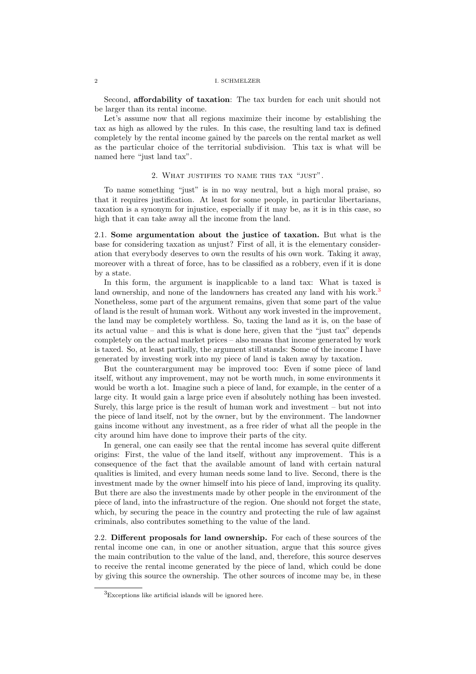Second, affordability of taxation: The tax burden for each unit should not be larger than its rental income.

Let's assume now that all regions maximize their income by establishing the tax as high as allowed by the rules. In this case, the resulting land tax is defined completely by the rental income gained by the parcels on the rental market as well as the particular choice of the territorial subdivision. This tax is what will be named here "just land tax".

# 2. What justifies to name this tax "just".

To name something "just" is in no way neutral, but a high moral praise, so that it requires justification. At least for some people, in particular libertarians, taxation is a synonym for injustice, especially if it may be, as it is in this case, so high that it can take away all the income from the land.

2.1. Some argumentation about the justice of taxation. But what is the base for considering taxation as unjust? First of all, it is the elementary consideration that everybody deserves to own the results of his own work. Taking it away, moreover with a threat of force, has to be classified as a robbery, even if it is done by a state.

In this form, the argument is inapplicable to a land tax: What is taxed is land ownership, and none of the landowners has created any land with his work.<sup>3</sup> Nonetheless, some part of the argument remains, given that some part of the value of land is the result of human work. Without any work invested in the improvement, the land may be completely worthless. So, taxing the land as it is, on the base of its actual value – and this is what is done here, given that the "just tax" depends completely on the actual market prices – also means that income generated by work is taxed. So, at least partially, the argument still stands: Some of the income I have generated by investing work into my piece of land is taken away by taxation.

But the counterargument may be improved too: Even if some piece of land itself, without any improvement, may not be worth much, in some environments it would be worth a lot. Imagine such a piece of land, for example, in the center of a large city. It would gain a large price even if absolutely nothing has been invested. Surely, this large price is the result of human work and investment – but not into the piece of land itself, not by the owner, but by the environment. The landowner gains income without any investment, as a free rider of what all the people in the city around him have done to improve their parts of the city.

In general, one can easily see that the rental income has several quite different origins: First, the value of the land itself, without any improvement. This is a consequence of the fact that the available amount of land with certain natural qualities is limited, and every human needs some land to live. Second, there is the investment made by the owner himself into his piece of land, improving its quality. But there are also the investments made by other people in the environment of the piece of land, into the infrastructure of the region. One should not forget the state, which, by securing the peace in the country and protecting the rule of law against criminals, also contributes something to the value of the land.

2.2. Different proposals for land ownership. For each of these sources of the rental income one can, in one or another situation, argue that this source gives the main contribution to the value of the land, and, therefore, this source deserves to receive the rental income generated by the piece of land, which could be done by giving this source the ownership. The other sources of income may be, in these

<sup>3</sup>Exceptions like artificial islands will be ignored here.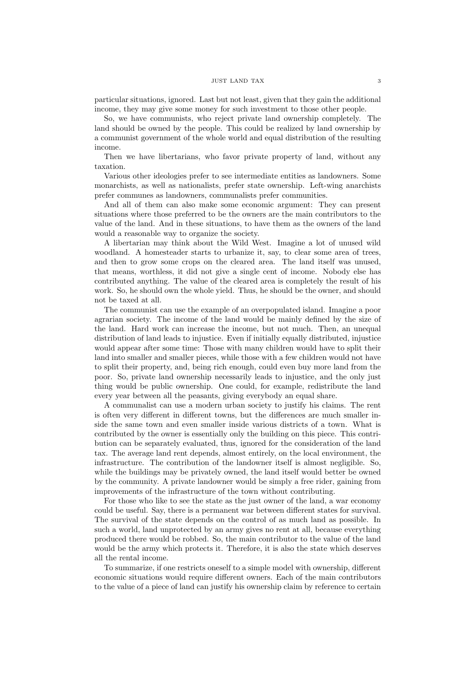particular situations, ignored. Last but not least, given that they gain the additional income, they may give some money for such investment to those other people.

So, we have communists, who reject private land ownership completely. The land should be owned by the people. This could be realized by land ownership by a communist government of the whole world and equal distribution of the resulting income.

Then we have libertarians, who favor private property of land, without any taxation.

Various other ideologies prefer to see intermediate entities as landowners. Some monarchists, as well as nationalists, prefer state ownership. Left-wing anarchists prefer communes as landowners, communalists prefer communities.

And all of them can also make some economic argument: They can present situations where those preferred to be the owners are the main contributors to the value of the land. And in these situations, to have them as the owners of the land would a reasonable way to organize the society.

A libertarian may think about the Wild West. Imagine a lot of unused wild woodland. A homesteader starts to urbanize it, say, to clear some area of trees, and then to grow some crops on the cleared area. The land itself was unused, that means, worthless, it did not give a single cent of income. Nobody else has contributed anything. The value of the cleared area is completely the result of his work. So, he should own the whole yield. Thus, he should be the owner, and should not be taxed at all.

The communist can use the example of an overpopulated island. Imagine a poor agrarian society. The income of the land would be mainly defined by the size of the land. Hard work can increase the income, but not much. Then, an unequal distribution of land leads to injustice. Even if initially equally distributed, injustice would appear after some time: Those with many children would have to split their land into smaller and smaller pieces, while those with a few children would not have to split their property, and, being rich enough, could even buy more land from the poor. So, private land ownership necessarily leads to injustice, and the only just thing would be public ownership. One could, for example, redistribute the land every year between all the peasants, giving everybody an equal share.

A communalist can use a modern urban society to justify his claims. The rent is often very different in different towns, but the differences are much smaller inside the same town and even smaller inside various districts of a town. What is contributed by the owner is essentially only the building on this piece. This contribution can be separately evaluated, thus, ignored for the consideration of the land tax. The average land rent depends, almost entirely, on the local environment, the infrastructure. The contribution of the landowner itself is almost negligible. So, while the buildings may be privately owned, the land itself would better be owned by the community. A private landowner would be simply a free rider, gaining from improvements of the infrastructure of the town without contributing.

For those who like to see the state as the just owner of the land, a war economy could be useful. Say, there is a permanent war between different states for survival. The survival of the state depends on the control of as much land as possible. In such a world, land unprotected by an army gives no rent at all, because everything produced there would be robbed. So, the main contributor to the value of the land would be the army which protects it. Therefore, it is also the state which deserves all the rental income.

To summarize, if one restricts oneself to a simple model with ownership, different economic situations would require different owners. Each of the main contributors to the value of a piece of land can justify his ownership claim by reference to certain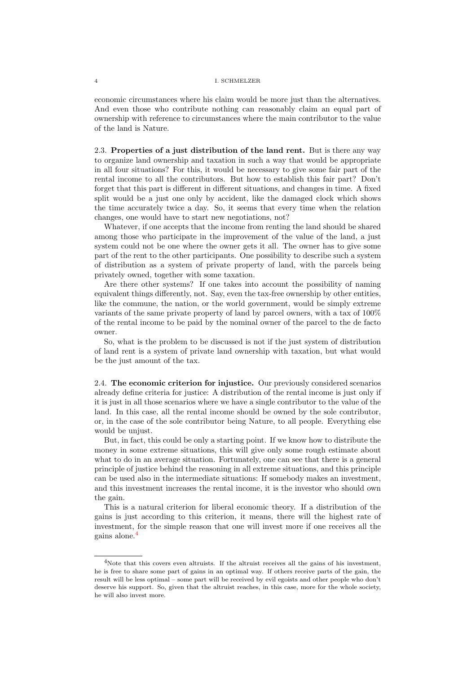economic circumstances where his claim would be more just than the alternatives. And even those who contribute nothing can reasonably claim an equal part of ownership with reference to circumstances where the main contributor to the value of the land is Nature.

2.3. Properties of a just distribution of the land rent. But is there any way to organize land ownership and taxation in such a way that would be appropriate in all four situations? For this, it would be necessary to give some fair part of the rental income to all the contributors. But how to establish this fair part? Don't forget that this part is different in different situations, and changes in time. A fixed split would be a just one only by accident, like the damaged clock which shows the time accurately twice a day. So, it seems that every time when the relation changes, one would have to start new negotiations, not?

Whatever, if one accepts that the income from renting the land should be shared among those who participate in the improvement of the value of the land, a just system could not be one where the owner gets it all. The owner has to give some part of the rent to the other participants. One possibility to describe such a system of distribution as a system of private property of land, with the parcels being privately owned, together with some taxation.

Are there other systems? If one takes into account the possibility of naming equivalent things differently, not. Say, even the tax-free ownership by other entities, like the commune, the nation, or the world government, would be simply extreme variants of the same private property of land by parcel owners, with a tax of 100% of the rental income to be paid by the nominal owner of the parcel to the de facto owner.

So, what is the problem to be discussed is not if the just system of distribution of land rent is a system of private land ownership with taxation, but what would be the just amount of the tax.

2.4. The economic criterion for injustice. Our previously considered scenarios already define criteria for justice: A distribution of the rental income is just only if it is just in all those scenarios where we have a single contributor to the value of the land. In this case, all the rental income should be owned by the sole contributor, or, in the case of the sole contributor being Nature, to all people. Everything else would be unjust.

But, in fact, this could be only a starting point. If we know how to distribute the money in some extreme situations, this will give only some rough estimate about what to do in an average situation. Fortunately, one can see that there is a general principle of justice behind the reasoning in all extreme situations, and this principle can be used also in the intermediate situations: If somebody makes an investment, and this investment increases the rental income, it is the investor who should own the gain.

This is a natural criterion for liberal economic theory. If a distribution of the gains is just according to this criterion, it means, there will the highest rate of investment, for the simple reason that one will invest more if one receives all the gains alone.<sup>4</sup>

<sup>&</sup>lt;sup>4</sup>Note that this covers even altruists. If the altruist receives all the gains of his investment, he is free to share some part of gains in an optimal way. If others receive parts of the gain, the result will be less optimal – some part will be received by evil egoists and other people who don't deserve his support. So, given that the altruist reaches, in this case, more for the whole society, he will also invest more.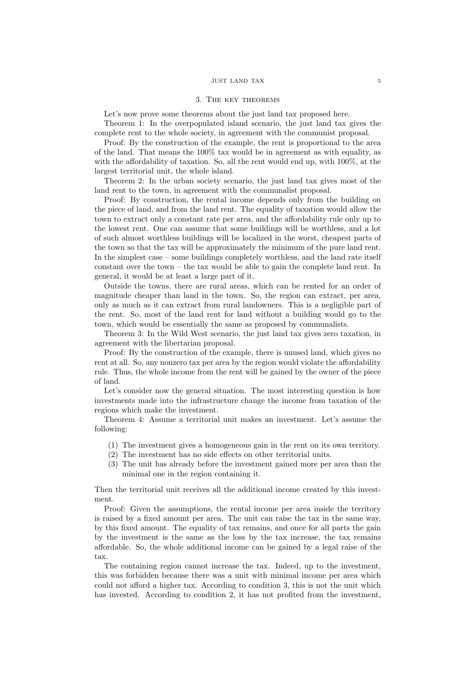# 3. The key theorems

Let's now prove some theorems about the just land tax proposed here.

Theorem 1: In the overpopulated island scenario, the just land tax gives the complete rent to the whole society, in agreement with the communist proposal.

Proof: By the construction of the example, the rent is proportional to the area of the land. That means the 100% tax would be in agreement as with equality, as with the affordability of taxation. So, all the rent would end up, with 100%, at the largest territorial unit, the whole island.

Theorem 2: In the urban society scenario, the just land tax gives most of the land rent to the town, in agreement with the communalist proposal.

Proof: By construction, the rental income depends only from the building on the piece of land, and from the land rent. The equality of taxation would allow the town to extract only a constant rate per area, and the affordability rule only up to the lowest rent. One can assume that some buildings will be worthless, and a lot of such almost worthless buildings will be localized in the worst, cheapest parts of the town so that the tax will be approximately the minimum of the pure land rent. In the simplest case – some buildings completely worthless, and the land rate itself constant over the town – the tax would be able to gain the complete land rent. In general, it would be at least a large part of it.

Outside the towns, there are rural areas, which can be rented for an order of magnitude cheaper than land in the town. So, the region can extract, per area, only as much as it can extract from rural landowners. This is a negligible part of the rent. So, most of the land rent for land without a building would go to the town, which would be essentially the same as proposed by communalists.

Theorem 3: In the Wild West scenario, the just land tax gives zero taxation, in agreement with the libertarian proposal.

Proof: By the construction of the example, there is unused land, which gives no rent at all. So, any nonzero tax per area by the region would violate the affordability rule. Thus, the whole income from the rent will be gained by the owner of the piece of land.

Let's consider now the general situation. The most interesting question is how investments made into the infrastructure change the income from taxation of the regions which make the investment.

Theorem 4: Assume a territorial unit makes an investment. Let's assume the following:

- (1) The investment gives a homogeneous gain in the rent on its own territory.
- (2) The investment has no side effects on other territorial units.
- (3) The unit has already before the investment gained more per area than the minimal one in the region containing it.

Then the territorial unit receives all the additional income created by this investment.

Proof: Given the assumptions, the rental income per area inside the territory is raised by a fixed amount per area. The unit can raise the tax in the same way, by this fixed amount. The equality of tax remains, and once for all parts the gain by the investment is the same as the loss by the tax increase, the tax remains affordable. So, the whole additional income can be gained by a legal raise of the tax.

The containing region cannot increase the tax. Indeed, up to the investment, this was forbidden because there was a unit with minimal income per area which could not afford a higher tax. According to condition 3, this is not the unit which has invested. According to condition 2, it has not profited from the investment,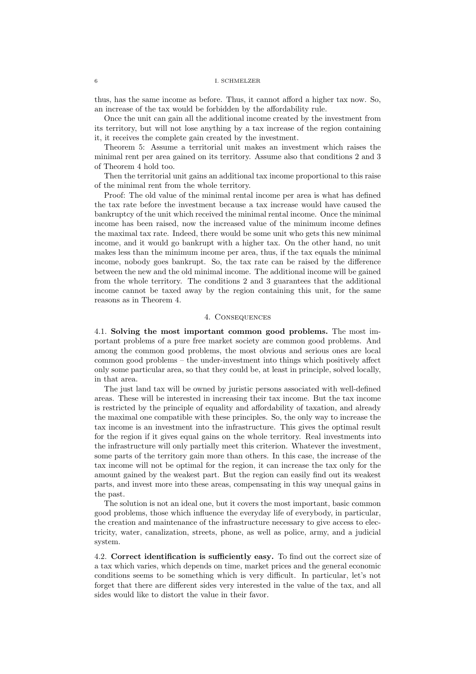thus, has the same income as before. Thus, it cannot afford a higher tax now. So, an increase of the tax would be forbidden by the affordability rule.

Once the unit can gain all the additional income created by the investment from its territory, but will not lose anything by a tax increase of the region containing it, it receives the complete gain created by the investment.

Theorem 5: Assume a territorial unit makes an investment which raises the minimal rent per area gained on its territory. Assume also that conditions 2 and 3 of Theorem 4 hold too.

Then the territorial unit gains an additional tax income proportional to this raise of the minimal rent from the whole territory.

Proof: The old value of the minimal rental income per area is what has defined the tax rate before the investment because a tax increase would have caused the bankruptcy of the unit which received the minimal rental income. Once the minimal income has been raised, now the increased value of the minimum income defines the maximal tax rate. Indeed, there would be some unit who gets this new minimal income, and it would go bankrupt with a higher tax. On the other hand, no unit makes less than the minimum income per area, thus, if the tax equals the minimal income, nobody goes bankrupt. So, the tax rate can be raised by the difference between the new and the old minimal income. The additional income will be gained from the whole territory. The conditions 2 and 3 guarantees that the additional income cannot be taxed away by the region containing this unit, for the same reasons as in Theorem 4.

# 4. Consequences

4.1. Solving the most important common good problems. The most important problems of a pure free market society are common good problems. And among the common good problems, the most obvious and serious ones are local common good problems – the under-investment into things which positively affect only some particular area, so that they could be, at least in principle, solved locally, in that area.

The just land tax will be owned by juristic persons associated with well-defined areas. These will be interested in increasing their tax income. But the tax income is restricted by the principle of equality and affordability of taxation, and already the maximal one compatible with these principles. So, the only way to increase the tax income is an investment into the infrastructure. This gives the optimal result for the region if it gives equal gains on the whole territory. Real investments into the infrastructure will only partially meet this criterion. Whatever the investment, some parts of the territory gain more than others. In this case, the increase of the tax income will not be optimal for the region, it can increase the tax only for the amount gained by the weakest part. But the region can easily find out its weakest parts, and invest more into these areas, compensating in this way unequal gains in the past.

The solution is not an ideal one, but it covers the most important, basic common good problems, those which influence the everyday life of everybody, in particular, the creation and maintenance of the infrastructure necessary to give access to electricity, water, canalization, streets, phone, as well as police, army, and a judicial system.

4.2. Correct identification is sufficiently easy. To find out the correct size of a tax which varies, which depends on time, market prices and the general economic conditions seems to be something which is very difficult. In particular, let's not forget that there are different sides very interested in the value of the tax, and all sides would like to distort the value in their favor.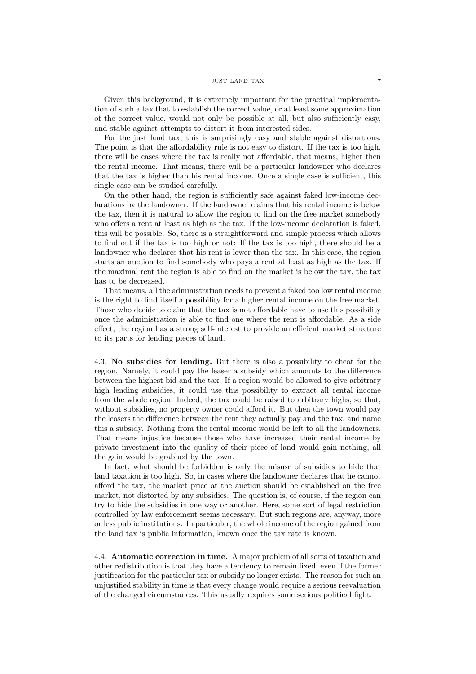Given this background, it is extremely important for the practical implementation of such a tax that to establish the correct value, or at least some approximation of the correct value, would not only be possible at all, but also sufficiently easy, and stable against attempts to distort it from interested sides.

For the just land tax, this is surprisingly easy and stable against distortions. The point is that the affordability rule is not easy to distort. If the tax is too high, there will be cases where the tax is really not affordable, that means, higher then the rental income. That means, there will be a particular landowner who declares that the tax is higher than his rental income. Once a single case is sufficient, this single case can be studied carefully.

On the other hand, the region is sufficiently safe against faked low-income declarations by the landowner. If the landowner claims that his rental income is below the tax, then it is natural to allow the region to find on the free market somebody who offers a rent at least as high as the tax. If the low-income declaration is faked, this will be possible. So, there is a straightforward and simple process which allows to find out if the tax is too high or not: If the tax is too high, there should be a landowner who declares that his rent is lower than the tax. In this case, the region starts an auction to find somebody who pays a rent at least as high as the tax. If the maximal rent the region is able to find on the market is below the tax, the tax has to be decreased.

That means, all the administration needs to prevent a faked too low rental income is the right to find itself a possibility for a higher rental income on the free market. Those who decide to claim that the tax is not affordable have to use this possibility once the administration is able to find one where the rent is affordable. As a side effect, the region has a strong self-interest to provide an efficient market structure to its parts for lending pieces of land.

4.3. No subsidies for lending. But there is also a possibility to cheat for the region. Namely, it could pay the leaser a subsidy which amounts to the difference between the highest bid and the tax. If a region would be allowed to give arbitrary high lending subsidies, it could use this possibility to extract all rental income from the whole region. Indeed, the tax could be raised to arbitrary highs, so that, without subsidies, no property owner could afford it. But then the town would pay the leasers the difference between the rent they actually pay and the tax, and name this a subsidy. Nothing from the rental income would be left to all the landowners. That means injustice because those who have increased their rental income by private investment into the quality of their piece of land would gain nothing, all the gain would be grabbed by the town.

In fact, what should be forbidden is only the misuse of subsidies to hide that land taxation is too high. So, in cases where the landowner declares that he cannot afford the tax, the market price at the auction should be established on the free market, not distorted by any subsidies. The question is, of course, if the region can try to hide the subsidies in one way or another. Here, some sort of legal restriction controlled by law enforcement seems necessary. But such regions are, anyway, more or less public institutions. In particular, the whole income of the region gained from the land tax is public information, known once the tax rate is known.

4.4. Automatic correction in time. A major problem of all sorts of taxation and other redistribution is that they have a tendency to remain fixed, even if the former justification for the particular tax or subsidy no longer exists. The reason for such an unjustified stability in time is that every change would require a serious reevaluation of the changed circumstances. This usually requires some serious political fight.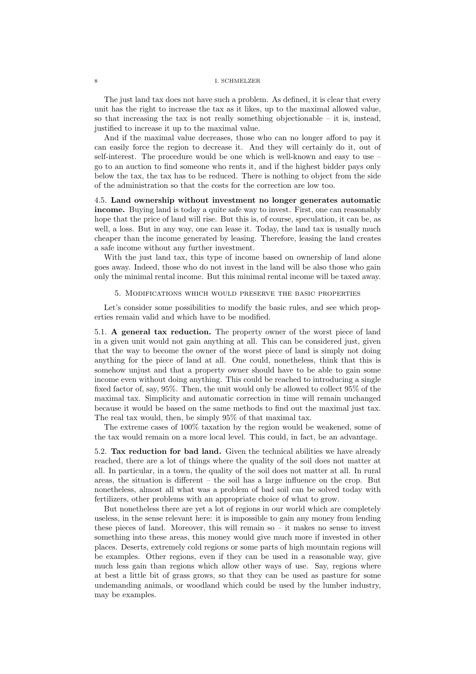The just land tax does not have such a problem. As defined, it is clear that every unit has the right to increase the tax as it likes, up to the maximal allowed value, so that increasing the tax is not really something objectionable  $-$  it is, instead, justified to increase it up to the maximal value.

And if the maximal value decreases, those who can no longer afford to pay it can easily force the region to decrease it. And they will certainly do it, out of self-interest. The procedure would be one which is well-known and easy to use – go to an auction to find someone who rents it, and if the highest bidder pays only below the tax, the tax has to be reduced. There is nothing to object from the side of the administration so that the costs for the correction are low too.

4.5. Land ownership without investment no longer generates automatic income. Buying land is today a quite safe way to invest. First, one can reasonably hope that the price of land will rise. But this is, of course, speculation, it can be, as well, a loss. But in any way, one can lease it. Today, the land tax is usually much cheaper than the income generated by leasing. Therefore, leasing the land creates a safe income without any further investment.

With the just land tax, this type of income based on ownership of land alone goes away. Indeed, those who do not invest in the land will be also those who gain only the minimal rental income. But this minimal rental income will be taxed away.

5. Modifications which would preserve the basic properties

Let's consider some possibilities to modify the basic rules, and see which properties remain valid and which have to be modified.

5.1. A general tax reduction. The property owner of the worst piece of land in a given unit would not gain anything at all. This can be considered just, given that the way to become the owner of the worst piece of land is simply not doing anything for the piece of land at all. One could, nonetheless, think that this is somehow unjust and that a property owner should have to be able to gain some income even without doing anything. This could be reached to introducing a single fixed factor of, say, 95%. Then, the unit would only be allowed to collect 95% of the maximal tax. Simplicity and automatic correction in time will remain unchanged because it would be based on the same methods to find out the maximal just tax. The real tax would, then, be simply 95% of that maximal tax.

The extreme cases of 100% taxation by the region would be weakened, some of the tax would remain on a more local level. This could, in fact, be an advantage.

5.2. Tax reduction for bad land. Given the technical abilities we have already reached, there are a lot of things where the quality of the soil does not matter at all. In particular, in a town, the quality of the soil does not matter at all. In rural areas, the situation is different – the soil has a large influence on the crop. But nonetheless, almost all what was a problem of bad soil can be solved today with fertilizers, other problems with an appropriate choice of what to grow.

But nonetheless there are yet a lot of regions in our world which are completely useless, in the sense relevant here: it is impossible to gain any money from lending these pieces of land. Moreover, this will remain so  $-$  it makes no sense to invest something into these areas, this money would give much more if invested in other places. Deserts, extremely cold regions or some parts of high mountain regions will be examples. Other regions, even if they can be used in a reasonable way, give much less gain than regions which allow other ways of use. Say, regions where at best a little bit of grass grows, so that they can be used as pasture for some undemanding animals, or woodland which could be used by the lumber industry, may be examples.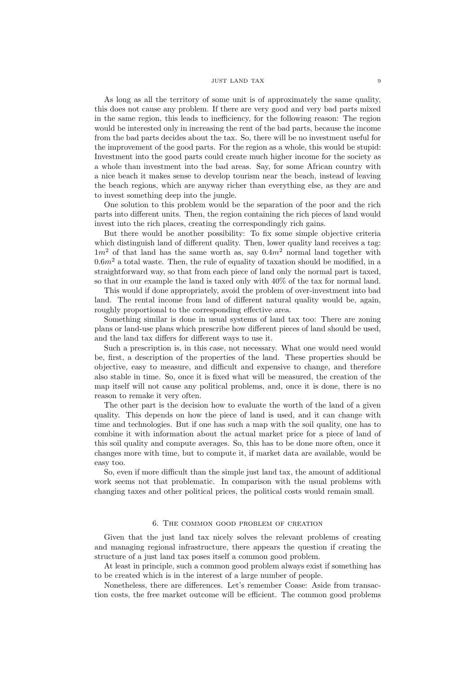As long as all the territory of some unit is of approximately the same quality, this does not cause any problem. If there are very good and very bad parts mixed in the same region, this leads to inefficiency, for the following reason: The region would be interested only in increasing the rent of the bad parts, because the income from the bad parts decides about the tax. So, there will be no investment useful for the improvement of the good parts. For the region as a whole, this would be stupid: Investment into the good parts could create much higher income for the society as a whole than investment into the bad areas. Say, for some African country with a nice beach it makes sense to develop tourism near the beach, instead of leaving the beach regions, which are anyway richer than everything else, as they are and to invest something deep into the jungle.

One solution to this problem would be the separation of the poor and the rich parts into different units. Then, the region containing the rich pieces of land would invest into the rich places, creating the correspondingly rich gains.

But there would be another possibility: To fix some simple objective criteria which distinguish land of different quality. Then, lower quality land receives a tag:  $1m^2$  of that land has the same worth as, say  $0.4m^2$  normal land together with  $0.6m<sup>2</sup>$  a total waste. Then, the rule of equality of taxation should be modified, in a straightforward way, so that from each piece of land only the normal part is taxed, so that in our example the land is taxed only with 40% of the tax for normal land.

This would if done appropriately, avoid the problem of over-investment into bad land. The rental income from land of different natural quality would be, again, roughly proportional to the corresponding effective area.

Something similar is done in usual systems of land tax too: There are zoning plans or land-use plans which prescribe how different pieces of land should be used, and the land tax differs for different ways to use it.

Such a prescription is, in this case, not necessary. What one would need would be, first, a description of the properties of the land. These properties should be objective, easy to measure, and difficult and expensive to change, and therefore also stable in time. So, once it is fixed what will be measured, the creation of the map itself will not cause any political problems, and, once it is done, there is no reason to remake it very often.

The other part is the decision how to evaluate the worth of the land of a given quality. This depends on how the piece of land is used, and it can change with time and technologies. But if one has such a map with the soil quality, one has to combine it with information about the actual market price for a piece of land of this soil quality and compute averages. So, this has to be done more often, once it changes more with time, but to compute it, if market data are available, would be easy too.

So, even if more difficult than the simple just land tax, the amount of additional work seems not that problematic. In comparison with the usual problems with changing taxes and other political prices, the political costs would remain small.

# 6. The common good problem of creation

Given that the just land tax nicely solves the relevant problems of creating and managing regional infrastructure, there appears the question if creating the structure of a just land tax poses itself a common good problem.

At least in principle, such a common good problem always exist if something has to be created which is in the interest of a large number of people.

Nonetheless, there are differences. Let's remember Coase: Aside from transaction costs, the free market outcome will be efficient. The common good problems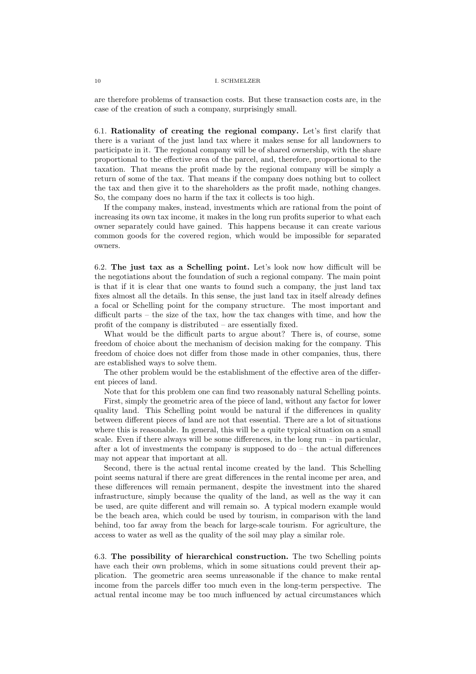are therefore problems of transaction costs. But these transaction costs are, in the case of the creation of such a company, surprisingly small.

6.1. Rationality of creating the regional company. Let's first clarify that there is a variant of the just land tax where it makes sense for all landowners to participate in it. The regional company will be of shared ownership, with the share proportional to the effective area of the parcel, and, therefore, proportional to the taxation. That means the profit made by the regional company will be simply a return of some of the tax. That means if the company does nothing but to collect the tax and then give it to the shareholders as the profit made, nothing changes. So, the company does no harm if the tax it collects is too high.

If the company makes, instead, investments which are rational from the point of increasing its own tax income, it makes in the long run profits superior to what each owner separately could have gained. This happens because it can create various common goods for the covered region, which would be impossible for separated owners.

6.2. The just tax as a Schelling point. Let's look now how difficult will be the negotiations about the foundation of such a regional company. The main point is that if it is clear that one wants to found such a company, the just land tax fixes almost all the details. In this sense, the just land tax in itself already defines a focal or Schelling point for the company structure. The most important and difficult parts – the size of the tax, how the tax changes with time, and how the profit of the company is distributed – are essentially fixed.

What would be the difficult parts to argue about? There is, of course, some freedom of choice about the mechanism of decision making for the company. This freedom of choice does not differ from those made in other companies, thus, there are established ways to solve them.

The other problem would be the establishment of the effective area of the different pieces of land.

Note that for this problem one can find two reasonably natural Schelling points.

First, simply the geometric area of the piece of land, without any factor for lower quality land. This Schelling point would be natural if the differences in quality between different pieces of land are not that essential. There are a lot of situations where this is reasonable. In general, this will be a quite typical situation on a small scale. Even if there always will be some differences, in the long run – in particular, after a lot of investments the company is supposed to  $d\sigma$  – the actual differences may not appear that important at all.

Second, there is the actual rental income created by the land. This Schelling point seems natural if there are great differences in the rental income per area, and these differences will remain permanent, despite the investment into the shared infrastructure, simply because the quality of the land, as well as the way it can be used, are quite different and will remain so. A typical modern example would be the beach area, which could be used by tourism, in comparison with the land behind, too far away from the beach for large-scale tourism. For agriculture, the access to water as well as the quality of the soil may play a similar role.

6.3. The possibility of hierarchical construction. The two Schelling points have each their own problems, which in some situations could prevent their application. The geometric area seems unreasonable if the chance to make rental income from the parcels differ too much even in the long-term perspective. The actual rental income may be too much influenced by actual circumstances which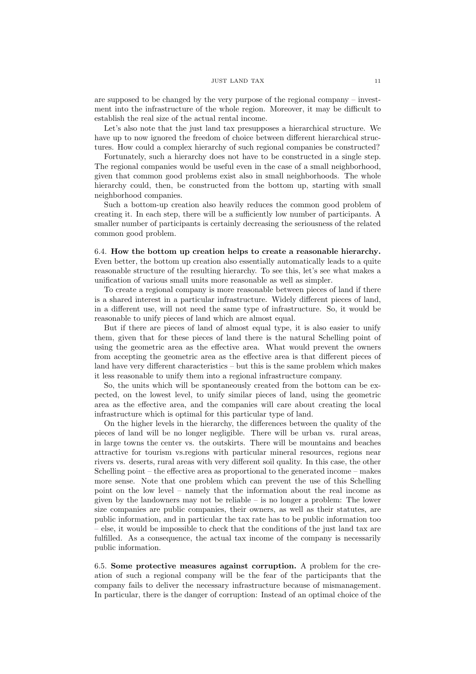are supposed to be changed by the very purpose of the regional company – investment into the infrastructure of the whole region. Moreover, it may be difficult to establish the real size of the actual rental income.

Let's also note that the just land tax presupposes a hierarchical structure. We have up to now ignored the freedom of choice between different hierarchical structures. How could a complex hierarchy of such regional companies be constructed?

Fortunately, such a hierarchy does not have to be constructed in a single step. The regional companies would be useful even in the case of a small neighborhood, given that common good problems exist also in small neighborhoods. The whole hierarchy could, then, be constructed from the bottom up, starting with small neighborhood companies.

Such a bottom-up creation also heavily reduces the common good problem of creating it. In each step, there will be a sufficiently low number of participants. A smaller number of participants is certainly decreasing the seriousness of the related common good problem.

6.4. How the bottom up creation helps to create a reasonable hierarchy. Even better, the bottom up creation also essentially automatically leads to a quite reasonable structure of the resulting hierarchy. To see this, let's see what makes a unification of various small units more reasonable as well as simpler.

To create a regional company is more reasonable between pieces of land if there is a shared interest in a particular infrastructure. Widely different pieces of land, in a different use, will not need the same type of infrastructure. So, it would be reasonable to unify pieces of land which are almost equal.

But if there are pieces of land of almost equal type, it is also easier to unify them, given that for these pieces of land there is the natural Schelling point of using the geometric area as the effective area. What would prevent the owners from accepting the geometric area as the effective area is that different pieces of land have very different characteristics – but this is the same problem which makes it less reasonable to unify them into a regional infrastructure company.

So, the units which will be spontaneously created from the bottom can be expected, on the lowest level, to unify similar pieces of land, using the geometric area as the effective area, and the companies will care about creating the local infrastructure which is optimal for this particular type of land.

On the higher levels in the hierarchy, the differences between the quality of the pieces of land will be no longer negligible. There will be urban vs. rural areas, in large towns the center vs. the outskirts. There will be mountains and beaches attractive for tourism vs.regions with particular mineral resources, regions near rivers vs. deserts, rural areas with very different soil quality. In this case, the other Schelling point – the effective area as proportional to the generated income – makes more sense. Note that one problem which can prevent the use of this Schelling point on the low level – namely that the information about the real income as given by the landowners may not be reliable – is no longer a problem: The lower size companies are public companies, their owners, as well as their statutes, are public information, and in particular the tax rate has to be public information too – else, it would be impossible to check that the conditions of the just land tax are fulfilled. As a consequence, the actual tax income of the company is necessarily public information.

6.5. Some protective measures against corruption. A problem for the creation of such a regional company will be the fear of the participants that the company fails to deliver the necessary infrastructure because of mismanagement. In particular, there is the danger of corruption: Instead of an optimal choice of the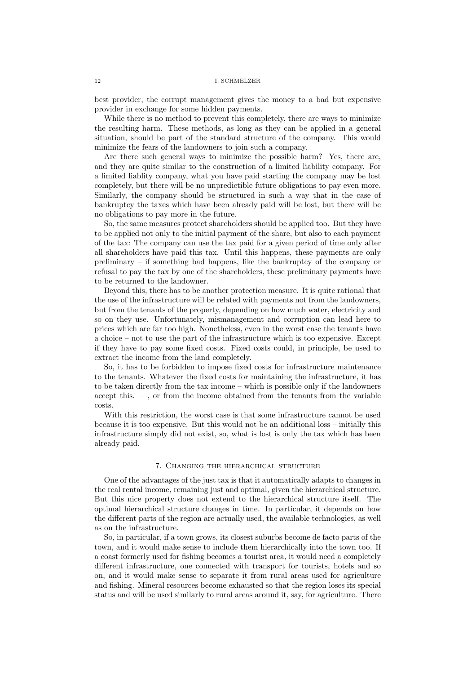best provider, the corrupt management gives the money to a bad but expensive provider in exchange for some hidden payments.

While there is no method to prevent this completely, there are ways to minimize the resulting harm. These methods, as long as they can be applied in a general situation, should be part of the standard structure of the company. This would minimize the fears of the landowners to join such a company.

Are there such general ways to minimize the possible harm? Yes, there are, and they are quite similar to the construction of a limited liability company. For a limited liablity company, what you have paid starting the company may be lost completely, but there will be no unpredictible future obligations to pay even more. Similarly, the company should be structured in such a way that in the case of bankruptcy the taxes which have been already paid will be lost, but there will be no obligations to pay more in the future.

So, the same measures protect shareholders should be applied too. But they have to be applied not only to the initial payment of the share, but also to each payment of the tax: The company can use the tax paid for a given period of time only after all shareholders have paid this tax. Until this happens, these payments are only preliminary – if something bad happens, like the bankruptcy of the company or refusal to pay the tax by one of the shareholders, these preliminary payments have to be returned to the landowner.

Beyond this, there has to be another protection measure. It is quite rational that the use of the infrastructure will be related with payments not from the landowners, but from the tenants of the property, depending on how much water, electricity and so on they use. Unfortunately, mismanagement and corruption can lead here to prices which are far too high. Nonetheless, even in the worst case the tenants have a choice – not to use the part of the infrastructure which is too expensive. Except if they have to pay some fixed costs. Fixed costs could, in principle, be used to extract the income from the land completely.

So, it has to be forbidden to impose fixed costs for infrastructure maintenance to the tenants. Whatever the fixed costs for maintaining the infrastructure, it has to be taken directly from the tax income – which is possible only if the landowners accept this. – , or from the income obtained from the tenants from the variable costs.

With this restriction, the worst case is that some infrastructure cannot be used because it is too expensive. But this would not be an additional loss – initially this infrastructure simply did not exist, so, what is lost is only the tax which has been already paid.

# 7. Changing the hierarchical structure

One of the advantages of the just tax is that it automatically adapts to changes in the real rental income, remaining just and optimal, given the hierarchical structure. But this nice property does not extend to the hierarchical structure itself. The optimal hierarchical structure changes in time. In particular, it depends on how the different parts of the region are actually used, the available technologies, as well as on the infrastructure.

So, in particular, if a town grows, its closest suburbs become de facto parts of the town, and it would make sense to include them hierarchically into the town too. If a coast formerly used for fishing becomes a tourist area, it would need a completely different infrastructure, one connected with transport for tourists, hotels and so on, and it would make sense to separate it from rural areas used for agriculture and fishing. Mineral resources become exhausted so that the region loses its special status and will be used similarly to rural areas around it, say, for agriculture. There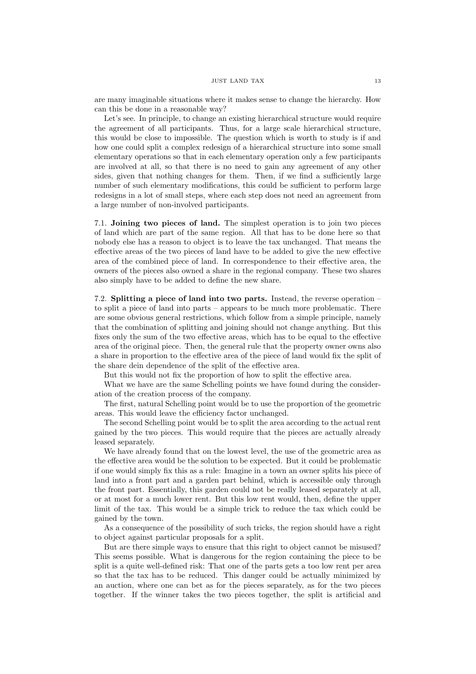are many imaginable situations where it makes sense to change the hierarchy. How can this be done in a reasonable way?

Let's see. In principle, to change an existing hierarchical structure would require the agreement of all participants. Thus, for a large scale hierarchical structure, this would be close to impossible. The question which is worth to study is if and how one could split a complex redesign of a hierarchical structure into some small elementary operations so that in each elementary operation only a few participants are involved at all, so that there is no need to gain any agreement of any other sides, given that nothing changes for them. Then, if we find a sufficiently large number of such elementary modifications, this could be sufficient to perform large redesigns in a lot of small steps, where each step does not need an agreement from a large number of non-involved participants.

7.1. Joining two pieces of land. The simplest operation is to join two pieces of land which are part of the same region. All that has to be done here so that nobody else has a reason to object is to leave the tax unchanged. That means the effective areas of the two pieces of land have to be added to give the new effective area of the combined piece of land. In correspondence to their effective area, the owners of the pieces also owned a share in the regional company. These two shares also simply have to be added to define the new share.

7.2. Splitting a piece of land into two parts. Instead, the reverse operation – to split a piece of land into parts – appears to be much more problematic. There are some obvious general restrictions, which follow from a simple principle, namely that the combination of splitting and joining should not change anything. But this fixes only the sum of the two effective areas, which has to be equal to the effective area of the original piece. Then, the general rule that the property owner owns also a share in proportion to the effective area of the piece of land would fix the split of the share dein dependence of the split of the effective area.

But this would not fix the proportion of how to split the effective area.

What we have are the same Schelling points we have found during the consideration of the creation process of the company.

The first, natural Schelling point would be to use the proportion of the geometric areas. This would leave the efficiency factor unchanged.

The second Schelling point would be to split the area according to the actual rent gained by the two pieces. This would require that the pieces are actually already leased separately.

We have already found that on the lowest level, the use of the geometric area as the effective area would be the solution to be expected. But it could be problematic if one would simply fix this as a rule: Imagine in a town an owner splits his piece of land into a front part and a garden part behind, which is accessible only through the front part. Essentially, this garden could not be really leased separately at all, or at most for a much lower rent. But this low rent would, then, define the upper limit of the tax. This would be a simple trick to reduce the tax which could be gained by the town.

As a consequence of the possibility of such tricks, the region should have a right to object against particular proposals for a split.

But are there simple ways to ensure that this right to object cannot be misused? This seems possible. What is dangerous for the region containing the piece to be split is a quite well-defined risk: That one of the parts gets a too low rent per area so that the tax has to be reduced. This danger could be actually minimized by an auction, where one can bet as for the pieces separately, as for the two pieces together. If the winner takes the two pieces together, the split is artificial and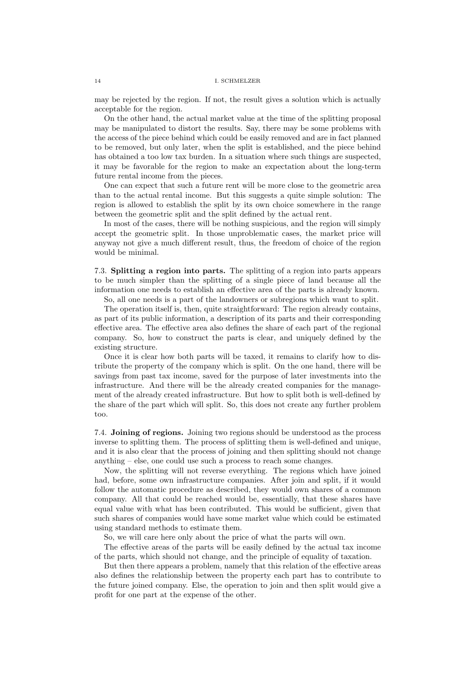may be rejected by the region. If not, the result gives a solution which is actually acceptable for the region.

On the other hand, the actual market value at the time of the splitting proposal may be manipulated to distort the results. Say, there may be some problems with the access of the piece behind which could be easily removed and are in fact planned to be removed, but only later, when the split is established, and the piece behind has obtained a too low tax burden. In a situation where such things are suspected, it may be favorable for the region to make an expectation about the long-term future rental income from the pieces.

One can expect that such a future rent will be more close to the geometric area than to the actual rental income. But this suggests a quite simple solution: The region is allowed to establish the split by its own choice somewhere in the range between the geometric split and the split defined by the actual rent.

In most of the cases, there will be nothing suspicious, and the region will simply accept the geometric split. In those unproblematic cases, the market price will anyway not give a much different result, thus, the freedom of choice of the region would be minimal.

7.3. Splitting a region into parts. The splitting of a region into parts appears to be much simpler than the splitting of a single piece of land because all the information one needs to establish an effective area of the parts is already known.

So, all one needs is a part of the landowners or subregions which want to split.

The operation itself is, then, quite straightforward: The region already contains, as part of its public information, a description of its parts and their corresponding effective area. The effective area also defines the share of each part of the regional company. So, how to construct the parts is clear, and uniquely defined by the existing structure.

Once it is clear how both parts will be taxed, it remains to clarify how to distribute the property of the company which is split. On the one hand, there will be savings from past tax income, saved for the purpose of later investments into the infrastructure. And there will be the already created companies for the management of the already created infrastructure. But how to split both is well-defined by the share of the part which will split. So, this does not create any further problem too.

7.4. Joining of regions. Joining two regions should be understood as the process inverse to splitting them. The process of splitting them is well-defined and unique, and it is also clear that the process of joining and then splitting should not change anything – else, one could use such a process to reach some changes.

Now, the splitting will not reverse everything. The regions which have joined had, before, some own infrastructure companies. After join and split, if it would follow the automatic procedure as described, they would own shares of a common company. All that could be reached would be, essentially, that these shares have equal value with what has been contributed. This would be sufficient, given that such shares of companies would have some market value which could be estimated using standard methods to estimate them.

So, we will care here only about the price of what the parts will own.

The effective areas of the parts will be easily defined by the actual tax income of the parts, which should not change, and the principle of equality of taxation.

But then there appears a problem, namely that this relation of the effective areas also defines the relationship between the property each part has to contribute to the future joined company. Else, the operation to join and then split would give a profit for one part at the expense of the other.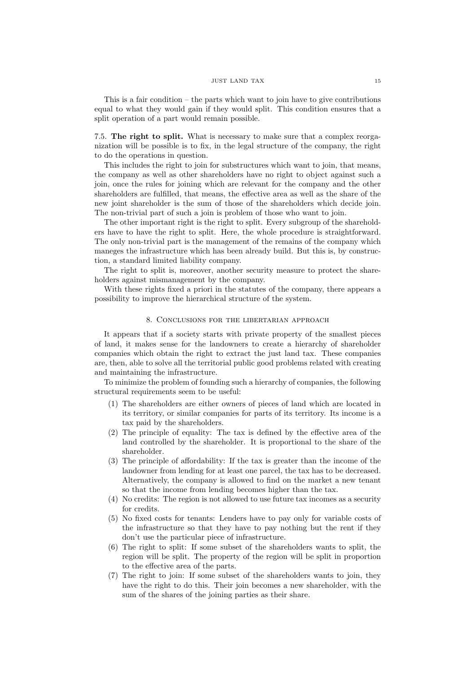This is a fair condition  $-$  the parts which want to join have to give contributions equal to what they would gain if they would split. This condition ensures that a split operation of a part would remain possible.

7.5. The right to split. What is necessary to make sure that a complex reorganization will be possible is to fix, in the legal structure of the company, the right to do the operations in question.

This includes the right to join for substructures which want to join, that means, the company as well as other shareholders have no right to object against such a join, once the rules for joining which are relevant for the company and the other shareholders are fulfilled, that means, the effective area as well as the share of the new joint shareholder is the sum of those of the shareholders which decide join. The non-trivial part of such a join is problem of those who want to join.

The other important right is the right to split. Every subgroup of the shareholders have to have the right to split. Here, the whole procedure is straightforward. The only non-trivial part is the management of the remains of the company which maneges the infrastructure which has been already build. But this is, by construction, a standard limited liability company.

The right to split is, moreover, another security measure to protect the shareholders against mismanagement by the company.

With these rights fixed a priori in the statutes of the company, there appears a possibility to improve the hierarchical structure of the system.

# 8. Conclusions for the libertarian approach

It appears that if a society starts with private property of the smallest pieces of land, it makes sense for the landowners to create a hierarchy of shareholder companies which obtain the right to extract the just land tax. These companies are, then, able to solve all the territorial public good problems related with creating and maintaining the infrastructure.

To minimize the problem of founding such a hierarchy of companies, the following structural requirements seem to be useful:

- (1) The shareholders are either owners of pieces of land which are located in its territory, or similar companies for parts of its territory. Its income is a tax paid by the shareholders.
- (2) The principle of equality: The tax is defined by the effective area of the land controlled by the shareholder. It is proportional to the share of the shareholder.
- (3) The principle of affordability: If the tax is greater than the income of the landowner from lending for at least one parcel, the tax has to be decreased. Alternatively, the company is allowed to find on the market a new tenant so that the income from lending becomes higher than the tax.
- (4) No credits: The region is not allowed to use future tax incomes as a security for credits.
- (5) No fixed costs for tenants: Lenders have to pay only for variable costs of the infrastructure so that they have to pay nothing but the rent if they don't use the particular piece of infrastructure.
- (6) The right to split: If some subset of the shareholders wants to split, the region will be split. The property of the region will be split in proportion to the effective area of the parts.
- (7) The right to join: If some subset of the shareholders wants to join, they have the right to do this. Their join becomes a new shareholder, with the sum of the shares of the joining parties as their share.